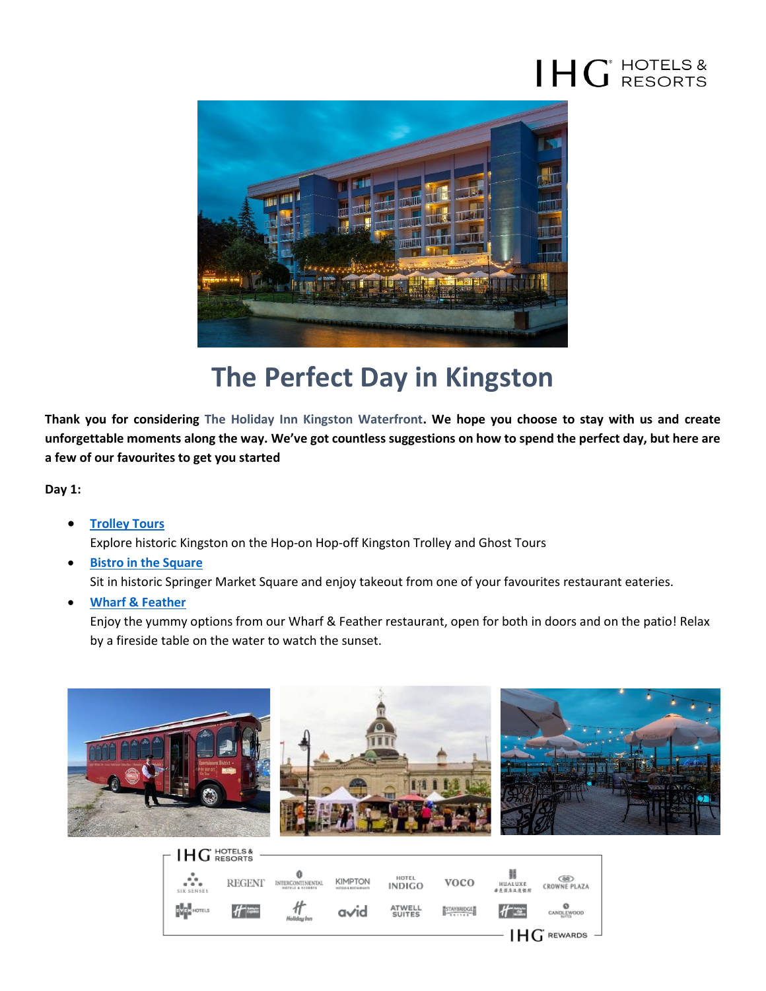## $H G^{\text{HOTELS &} }$



## **The Perfect Day in Kingston**

**Thank you for considering The Holiday Inn Kingston Waterfront. We hope you choose to stay with us and create unforgettable moments along the way. We've got countless suggestions on how to spend the perfect day, but here are a few of our favourites to get you started** 

**Day 1:**

- **[Trolley Tours](https://www.kingstontrolley.ca/)** Explore historic Kingston on the Hop-on Hop-off Kingston Trolley and Ghost Tours
- **[Bistro in the Square](https://www.cityofkingston.ca/residents/recreation/facilities/arenas/springer-market-square)** Sit in historic Springer Market Square and enjoy takeout from one of your favourites restaurant eateries.
- **[Wharf & Feather](https://www.cityofkingston.ca/residents/recreation/facilities/arenas/springer-market-square)**

Enjoy the yummy options from our Wharf & Feather restaurant, open for both in doors and on the patio! Relax by a fireside table on the water to watch the sunset.